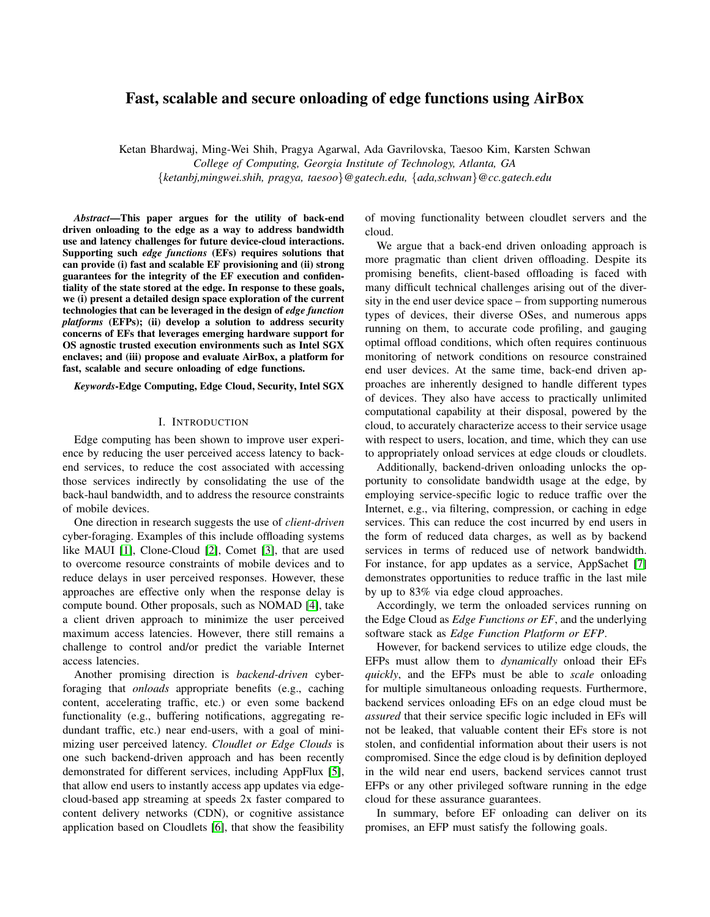# Fast, scalable and secure onloading of edge functions using AirBox

Ketan Bhardwaj, Ming-Wei Shih, Pragya Agarwal, Ada Gavrilovska, Taesoo Kim, Karsten Schwan *College of Computing, Georgia Institute of Technology, Atlanta, GA* {*ketanbj,mingwei.shih, pragya, taesoo*}*@gatech.edu,* {*ada,schwan*}*@cc.gatech.edu*

*Abstract*—This paper argues for the utility of back-end driven onloading to the edge as a way to address bandwidth use and latency challenges for future device-cloud interactions. Supporting such *edge functions* (EFs) requires solutions that can provide (i) fast and scalable EF provisioning and (ii) strong guarantees for the integrity of the EF execution and confidentiality of the state stored at the edge. In response to these goals, we (i) present a detailed design space exploration of the current technologies that can be leveraged in the design of *edge function platforms* (EFPs); (ii) develop a solution to address security concerns of EFs that leverages emerging hardware support for OS agnostic trusted execution environments such as Intel SGX enclaves; and (iii) propose and evaluate AirBox, a platform for fast, scalable and secure onloading of edge functions.

*Keywords*-Edge Computing, Edge Cloud, Security, Intel SGX

#### I. INTRODUCTION

Edge computing has been shown to improve user experience by reducing the user perceived access latency to backend services, to reduce the cost associated with accessing those services indirectly by consolidating the use of the back-haul bandwidth, and to address the resource constraints of mobile devices.

One direction in research suggests the use of *client-driven* cyber-foraging. Examples of this include offloading systems like MAUI [\[1\]](#page-12-0), Clone-Cloud [\[2\]](#page-12-1), Comet [\[3\]](#page-12-2), that are used to overcome resource constraints of mobile devices and to reduce delays in user perceived responses. However, these approaches are effective only when the response delay is compute bound. Other proposals, such as NOMAD [\[4\]](#page-12-3), take a client driven approach to minimize the user perceived maximum access latencies. However, there still remains a challenge to control and/or predict the variable Internet access latencies.

Another promising direction is *backend-driven* cyberforaging that *onloads* appropriate benefits (e.g., caching content, accelerating traffic, etc.) or even some backend functionality (e.g., buffering notifications, aggregating redundant traffic, etc.) near end-users, with a goal of minimizing user perceived latency. *Cloudlet or Edge Clouds* is one such backend-driven approach and has been recently demonstrated for different services, including AppFlux [\[5\]](#page-12-4), that allow end users to instantly access app updates via edgecloud-based app streaming at speeds 2x faster compared to content delivery networks (CDN), or cognitive assistance application based on Cloudlets [\[6\]](#page-12-5), that show the feasibility of moving functionality between cloudlet servers and the cloud.

We argue that a back-end driven onloading approach is more pragmatic than client driven offloading. Despite its promising benefits, client-based offloading is faced with many difficult technical challenges arising out of the diversity in the end user device space – from supporting numerous types of devices, their diverse OSes, and numerous apps running on them, to accurate code profiling, and gauging optimal offload conditions, which often requires continuous monitoring of network conditions on resource constrained end user devices. At the same time, back-end driven approaches are inherently designed to handle different types of devices. They also have access to practically unlimited computational capability at their disposal, powered by the cloud, to accurately characterize access to their service usage with respect to users, location, and time, which they can use to appropriately onload services at edge clouds or cloudlets.

Additionally, backend-driven onloading unlocks the opportunity to consolidate bandwidth usage at the edge, by employing service-specific logic to reduce traffic over the Internet, e.g., via filtering, compression, or caching in edge services. This can reduce the cost incurred by end users in the form of reduced data charges, as well as by backend services in terms of reduced use of network bandwidth. For instance, for app updates as a service, AppSachet [\[7\]](#page-12-6) demonstrates opportunities to reduce traffic in the last mile by up to 83% via edge cloud approaches.

Accordingly, we term the onloaded services running on the Edge Cloud as *Edge Functions or EF*, and the underlying software stack as *Edge Function Platform or EFP*.

However, for backend services to utilize edge clouds, the EFPs must allow them to *dynamically* onload their EFs *quickly*, and the EFPs must be able to *scale* onloading for multiple simultaneous onloading requests. Furthermore, backend services onloading EFs on an edge cloud must be *assured* that their service specific logic included in EFs will not be leaked, that valuable content their EFs store is not stolen, and confidential information about their users is not compromised. Since the edge cloud is by definition deployed in the wild near end users, backend services cannot trust EFPs or any other privileged software running in the edge cloud for these assurance guarantees.

In summary, before EF onloading can deliver on its promises, an EFP must satisfy the following goals.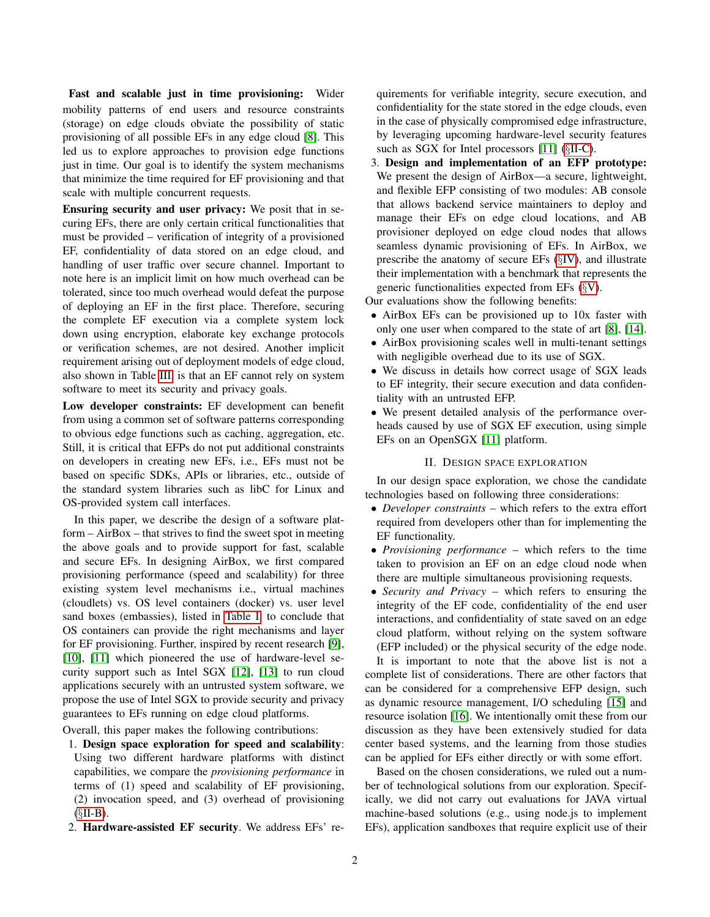Fast and scalable just in time provisioning: Wider mobility patterns of end users and resource constraints (storage) on edge clouds obviate the possibility of static provisioning of all possible EFs in any edge cloud [\[8\]](#page-12-7). This led us to explore approaches to provision edge functions just in time. Our goal is to identify the system mechanisms that minimize the time required for EF provisioning and that scale with multiple concurrent requests.

Ensuring security and user privacy: We posit that in securing EFs, there are only certain critical functionalities that must be provided – verification of integrity of a provisioned EF, confidentiality of data stored on an edge cloud, and handling of user traffic over secure channel. Important to note here is an implicit limit on how much overhead can be tolerated, since too much overhead would defeat the purpose of deploying an EF in the first place. Therefore, securing the complete EF execution via a complete system lock down using encryption, elaborate key exchange protocols or verification schemes, are not desired. Another implicit requirement arising out of deployment models of edge cloud, also shown in Table [III,](#page-3-0) is that an EF cannot rely on system software to meet its security and privacy goals.

Low developer constraints: EF development can benefit from using a common set of software patterns corresponding to obvious edge functions such as caching, aggregation, etc. Still, it is critical that EFPs do not put additional constraints on developers in creating new EFs, i.e., EFs must not be based on specific SDKs, APIs or libraries, etc., outside of the standard system libraries such as libC for Linux and OS-provided system call interfaces.

In this paper, we describe the design of a software platform – AirBox – that strives to find the sweet spot in meeting the above goals and to provide support for fast, scalable and secure EFs. In designing AirBox, we first compared provisioning performance (speed and scalability) for three existing system level mechanisms i.e., virtual machines (cloudlets) vs. OS level containers (docker) vs. user level sand boxes (embassies), listed in [Table I,](#page-2-0) to conclude that OS containers can provide the right mechanisms and layer for EF provisioning. Further, inspired by recent research [\[9\]](#page-12-8), [\[10\]](#page-12-9), [\[11\]](#page-12-10) which pioneered the use of hardware-level security support such as Intel SGX [\[12\]](#page-12-11), [\[13\]](#page-12-12) to run cloud applications securely with an untrusted system software, we propose the use of Intel SGX to provide security and privacy guarantees to EFs running on edge cloud platforms.

Overall, this paper makes the following contributions:

- 1. Design space exploration for speed and scalability: Using two different hardware platforms with distinct capabilities, we compare the *provisioning performance* in terms of (1) speed and scalability of EF provisioning, (2) invocation speed, and (3) overhead of provisioning  $(SII-B)$  $(SII-B)$ .
- 2. Hardware-assisted EF security. We address EFs' re-

quirements for verifiable integrity, secure execution, and confidentiality for the state stored in the edge clouds, even in the case of physically compromised edge infrastructure, by leveraging upcoming hardware-level security features such as SGX for Intel processors [\[11\]](#page-12-10) (§[II-C\)](#page-4-0).

3. Design and implementation of an EFP prototype: We present the design of AirBox—a secure, lightweight, and flexible EFP consisting of two modules: AB console that allows backend service maintainers to deploy and manage their EFs on edge cloud locations, and AB provisioner deployed on edge cloud nodes that allows seamless dynamic provisioning of EFs. In AirBox, we prescribe the anatomy of secure EFs (§[IV\)](#page-6-0), and illustrate their implementation with a benchmark that represents the generic functionalities expected from EFs (§[V\)](#page-8-0).

Our evaluations show the following benefits:

- AirBox EFs can be provisioned up to 10x faster with only one user when compared to the state of art [\[8\]](#page-12-7), [\[14\]](#page-12-13).
- AirBox provisioning scales well in multi-tenant settings with negligible overhead due to its use of SGX.
- We discuss in details how correct usage of SGX leads to EF integrity, their secure execution and data confidentiality with an untrusted EFP.
- We present detailed analysis of the performance overheads caused by use of SGX EF execution, using simple EFs on an OpenSGX [\[11\]](#page-12-10) platform.

#### II. DESIGN SPACE EXPLORATION

In our design space exploration, we chose the candidate technologies based on following three considerations:

- *Developer constraints* which refers to the extra effort required from developers other than for implementing the EF functionality.
- *Provisioning performance* which refers to the time taken to provision an EF on an edge cloud node when there are multiple simultaneous provisioning requests.
- *Security and Privacy* which refers to ensuring the integrity of the EF code, confidentiality of the end user interactions, and confidentiality of state saved on an edge cloud platform, without relying on the system software (EFP included) or the physical security of the edge node.

It is important to note that the above list is not a complete list of considerations. There are other factors that can be considered for a comprehensive EFP design, such as dynamic resource management, I/O scheduling [\[15\]](#page-12-14) and resource isolation [\[16\]](#page-12-15). We intentionally omit these from our discussion as they have been extensively studied for data center based systems, and the learning from those studies can be applied for EFs either directly or with some effort.

Based on the chosen considerations, we ruled out a number of technological solutions from our exploration. Specifically, we did not carry out evaluations for JAVA virtual machine-based solutions (e.g., using node.js to implement EFs), application sandboxes that require explicit use of their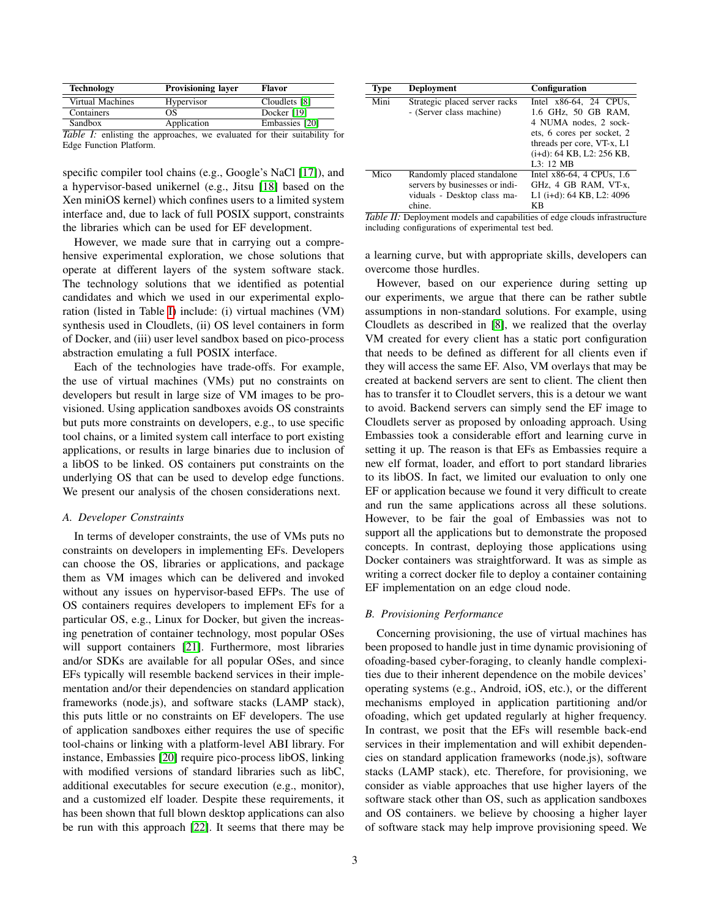<span id="page-2-0"></span>

| <b>Technology</b> | <b>Provisioning layer</b> | <b>Flavor</b>  |
|-------------------|---------------------------|----------------|
| Virtual Machines  | Hypervisor                | Cloudlets [8]  |
| Containers        | OS                        | Docker [19]    |
| Sandbox           | Application               | Embassies [20] |

*Table I:* enlisting the approaches, we evaluated for their suitability for Edge Function Platform.

specific compiler tool chains (e.g., Google's NaCl [\[17\]](#page-12-18)), and a hypervisor-based unikernel (e.g., Jitsu [\[18\]](#page-12-19) based on the Xen miniOS kernel) which confines users to a limited system interface and, due to lack of full POSIX support, constraints the libraries which can be used for EF development.

However, we made sure that in carrying out a comprehensive experimental exploration, we chose solutions that operate at different layers of the system software stack. The technology solutions that we identified as potential candidates and which we used in our experimental exploration (listed in Table [I\)](#page-2-0) include: (i) virtual machines (VM) synthesis used in Cloudlets, (ii) OS level containers in form of Docker, and (iii) user level sandbox based on pico-process abstraction emulating a full POSIX interface.

Each of the technologies have trade-offs. For example, the use of virtual machines (VMs) put no constraints on developers but result in large size of VM images to be provisioned. Using application sandboxes avoids OS constraints but puts more constraints on developers, e.g., to use specific tool chains, or a limited system call interface to port existing applications, or results in large binaries due to inclusion of a libOS to be linked. OS containers put constraints on the underlying OS that can be used to develop edge functions. We present our analysis of the chosen considerations next.

## *A. Developer Constraints*

In terms of developer constraints, the use of VMs puts no constraints on developers in implementing EFs. Developers can choose the OS, libraries or applications, and package them as VM images which can be delivered and invoked without any issues on hypervisor-based EFPs. The use of OS containers requires developers to implement EFs for a particular OS, e.g., Linux for Docker, but given the increasing penetration of container technology, most popular OSes will support containers [\[21\]](#page-12-20). Furthermore, most libraries and/or SDKs are available for all popular OSes, and since EFs typically will resemble backend services in their implementation and/or their dependencies on standard application frameworks (node.js), and software stacks (LAMP stack), this puts little or no constraints on EF developers. The use of application sandboxes either requires the use of specific tool-chains or linking with a platform-level ABI library. For instance, Embassies [\[20\]](#page-12-17) require pico-process libOS, linking with modified versions of standard libraries such as libC, additional executables for secure execution (e.g., monitor), and a customized elf loader. Despite these requirements, it has been shown that full blown desktop applications can also be run with this approach [\[22\]](#page-12-21). It seems that there may be

<span id="page-2-2"></span>

| <b>Type</b> | <b>Deployment</b>                                                                                     | <b>Configuration</b>                                                                                                                                                                         |
|-------------|-------------------------------------------------------------------------------------------------------|----------------------------------------------------------------------------------------------------------------------------------------------------------------------------------------------|
| Mini        | Strategic placed server racks<br>- (Server class machine)                                             | Intel $x86-64$ , 24 CPUs,<br>1.6 GHz, 50 GB RAM,<br>4 NUMA nodes, 2 sock-<br>ets, 6 cores per socket, 2<br>threads per core, VT-x, L1<br>$(i+d)$ : 64 KB, L2: 256 KB,<br>$1.3:12 \text{ MB}$ |
| Mico        | Randomly placed standalone<br>servers by businesses or indi-<br>viduals - Desktop class ma-<br>chine. | Intel $x86-64$ , 4 CPUs, 1.6<br>GHz, 4 GB RAM, VT-x,<br>L1 (i+d): 64 KB, L2: 4096<br>KВ                                                                                                      |

*Table II:* Deployment models and capabilities of edge clouds infrastructure including configurations of experimental test bed.

a learning curve, but with appropriate skills, developers can overcome those hurdles.

However, based on our experience during setting up our experiments, we argue that there can be rather subtle assumptions in non-standard solutions. For example, using Cloudlets as described in [\[8\]](#page-12-7), we realized that the overlay VM created for every client has a static port configuration that needs to be defined as different for all clients even if they will access the same EF. Also, VM overlays that may be created at backend servers are sent to client. The client then has to transfer it to Cloudlet servers, this is a detour we want to avoid. Backend servers can simply send the EF image to Cloudlets server as proposed by onloading approach. Using Embassies took a considerable effort and learning curve in setting it up. The reason is that EFs as Embassies require a new elf format, loader, and effort to port standard libraries to its libOS. In fact, we limited our evaluation to only one EF or application because we found it very difficult to create and run the same applications across all these solutions. However, to be fair the goal of Embassies was not to support all the applications but to demonstrate the proposed concepts. In contrast, deploying those applications using Docker containers was straightforward. It was as simple as writing a correct docker file to deploy a container containing EF implementation on an edge cloud node.

#### <span id="page-2-1"></span>*B. Provisioning Performance*

Concerning provisioning, the use of virtual machines has been proposed to handle just in time dynamic provisioning of ofoading-based cyber-foraging, to cleanly handle complexities due to their inherent dependence on the mobile devices' operating systems (e.g., Android, iOS, etc.), or the different mechanisms employed in application partitioning and/or ofoading, which get updated regularly at higher frequency. In contrast, we posit that the EFs will resemble back-end services in their implementation and will exhibit dependencies on standard application frameworks (node.js), software stacks (LAMP stack), etc. Therefore, for provisioning, we consider as viable approaches that use higher layers of the software stack other than OS, such as application sandboxes and OS containers. we believe by choosing a higher layer of software stack may help improve provisioning speed. We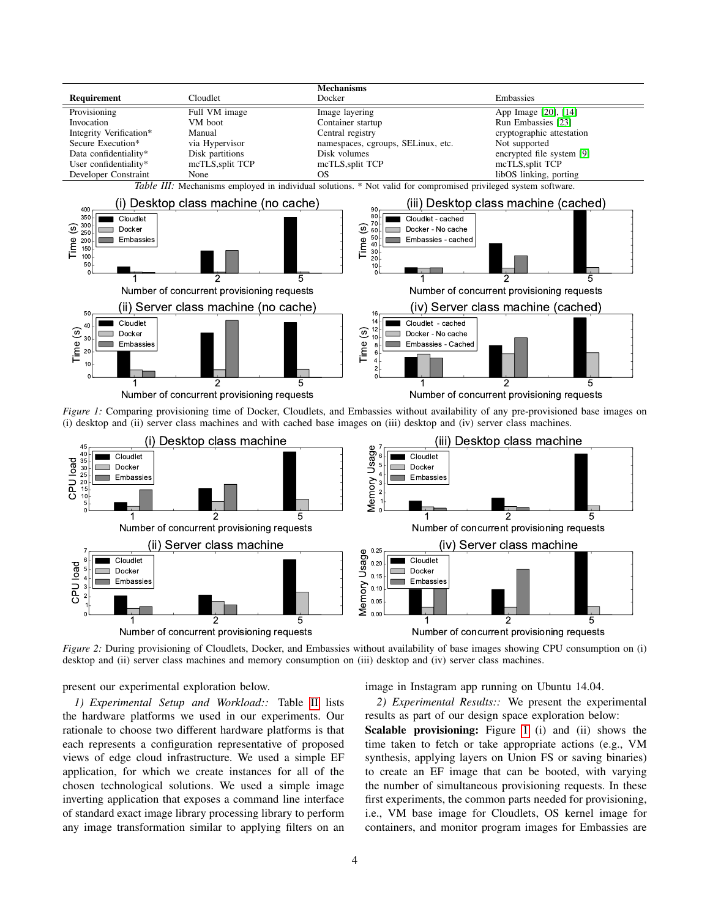<span id="page-3-1"></span><span id="page-3-0"></span>

*Figure 1:* Comparing provisioning time of Docker, Cloudlets, and Embassies without availability of any pre-provisioned base images on (i) desktop and (ii) server class machines and with cached base images on (iii) desktop and (iv) server class machines.

<span id="page-3-2"></span>

*Figure 2:* During provisioning of Cloudlets, Docker, and Embassies without availability of base images showing CPU consumption on (i) desktop and (ii) server class machines and memory consumption on (iii) desktop and (iv) server class machines.

present our experimental exploration below.

*1) Experimental Setup and Workload::* Table [II](#page-2-2) lists the hardware platforms we used in our experiments. Our rationale to choose two different hardware platforms is that each represents a configuration representative of proposed views of edge cloud infrastructure. We used a simple EF application, for which we create instances for all of the chosen technological solutions. We used a simple image inverting application that exposes a command line interface of standard exact image library processing library to perform any image transformation similar to applying filters on an image in Instagram app running on Ubuntu 14.04.

*2) Experimental Results::* We present the experimental results as part of our design space exploration below:

Scalable provisioning: Figure [1](#page-3-1) (i) and (ii) shows the time taken to fetch or take appropriate actions (e.g., VM synthesis, applying layers on Union FS or saving binaries) to create an EF image that can be booted, with varying the number of simultaneous provisioning requests. In these first experiments, the common parts needed for provisioning, i.e., VM base image for Cloudlets, OS kernel image for containers, and monitor program images for Embassies are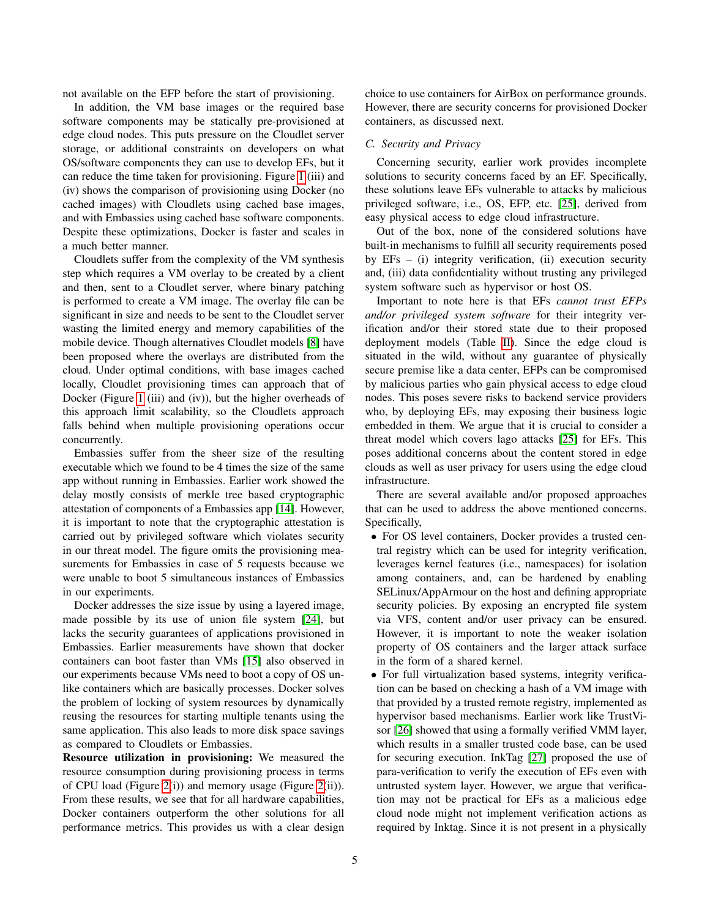not available on the EFP before the start of provisioning.

In addition, the VM base images or the required base software components may be statically pre-provisioned at edge cloud nodes. This puts pressure on the Cloudlet server storage, or additional constraints on developers on what OS/software components they can use to develop EFs, but it can reduce the time taken for provisioning. Figure [1](#page-3-1) (iii) and (iv) shows the comparison of provisioning using Docker (no cached images) with Cloudlets using cached base images, and with Embassies using cached base software components. Despite these optimizations, Docker is faster and scales in a much better manner.

Cloudlets suffer from the complexity of the VM synthesis step which requires a VM overlay to be created by a client and then, sent to a Cloudlet server, where binary patching is performed to create a VM image. The overlay file can be significant in size and needs to be sent to the Cloudlet server wasting the limited energy and memory capabilities of the mobile device. Though alternatives Cloudlet models [\[8\]](#page-12-7) have been proposed where the overlays are distributed from the cloud. Under optimal conditions, with base images cached locally, Cloudlet provisioning times can approach that of Docker (Figure [1](#page-3-1) (iii) and (iv)), but the higher overheads of this approach limit scalability, so the Cloudlets approach falls behind when multiple provisioning operations occur concurrently.

Embassies suffer from the sheer size of the resulting executable which we found to be 4 times the size of the same app without running in Embassies. Earlier work showed the delay mostly consists of merkle tree based cryptographic attestation of components of a Embassies app [\[14\]](#page-12-13). However, it is important to note that the cryptographic attestation is carried out by privileged software which violates security in our threat model. The figure omits the provisioning measurements for Embassies in case of 5 requests because we were unable to boot 5 simultaneous instances of Embassies in our experiments.

Docker addresses the size issue by using a layered image, made possible by its use of union file system [\[24\]](#page-13-1), but lacks the security guarantees of applications provisioned in Embassies. Earlier measurements have shown that docker containers can boot faster than VMs [\[15\]](#page-12-14) also observed in our experiments because VMs need to boot a copy of OS unlike containers which are basically processes. Docker solves the problem of locking of system resources by dynamically reusing the resources for starting multiple tenants using the same application. This also leads to more disk space savings as compared to Cloudlets or Embassies.

Resource utilization in provisioning: We measured the resource consumption during provisioning process in terms of CPU load (Figure [2\(](#page-3-2)i)) and memory usage (Figure 2(ii)). From these results, we see that for all hardware capabilities, Docker containers outperform the other solutions for all performance metrics. This provides us with a clear design choice to use containers for AirBox on performance grounds. However, there are security concerns for provisioned Docker containers, as discussed next.

## <span id="page-4-0"></span>*C. Security and Privacy*

Concerning security, earlier work provides incomplete solutions to security concerns faced by an EF. Specifically, these solutions leave EFs vulnerable to attacks by malicious privileged software, i.e., OS, EFP, etc. [\[25\]](#page-13-2), derived from easy physical access to edge cloud infrastructure.

Out of the box, none of the considered solutions have built-in mechanisms to fulfill all security requirements posed by  $EFs - (i)$  integrity verification, (ii) execution security and, (iii) data confidentiality without trusting any privileged system software such as hypervisor or host OS.

Important to note here is that EFs *cannot trust EFPs and/or privileged system software* for their integrity verification and/or their stored state due to their proposed deployment models (Table [II\)](#page-2-2). Since the edge cloud is situated in the wild, without any guarantee of physically secure premise like a data center, EFPs can be compromised by malicious parties who gain physical access to edge cloud nodes. This poses severe risks to backend service providers who, by deploying EFs, may exposing their business logic embedded in them. We argue that it is crucial to consider a threat model which covers lago attacks [\[25\]](#page-13-2) for EFs. This poses additional concerns about the content stored in edge clouds as well as user privacy for users using the edge cloud infrastructure.

There are several available and/or proposed approaches that can be used to address the above mentioned concerns. Specifically,

- For OS level containers, Docker provides a trusted central registry which can be used for integrity verification, leverages kernel features (i.e., namespaces) for isolation among containers, and, can be hardened by enabling SELinux/AppArmour on the host and defining appropriate security policies. By exposing an encrypted file system via VFS, content and/or user privacy can be ensured. However, it is important to note the weaker isolation property of OS containers and the larger attack surface in the form of a shared kernel.
- For full virtualization based systems, integrity verification can be based on checking a hash of a VM image with that provided by a trusted remote registry, implemented as hypervisor based mechanisms. Earlier work like TrustVisor [\[26\]](#page-13-3) showed that using a formally verified VMM layer, which results in a smaller trusted code base, can be used for securing execution. InkTag [\[27\]](#page-13-4) proposed the use of para-verification to verify the execution of EFs even with untrusted system layer. However, we argue that verification may not be practical for EFs as a malicious edge cloud node might not implement verification actions as required by Inktag. Since it is not present in a physically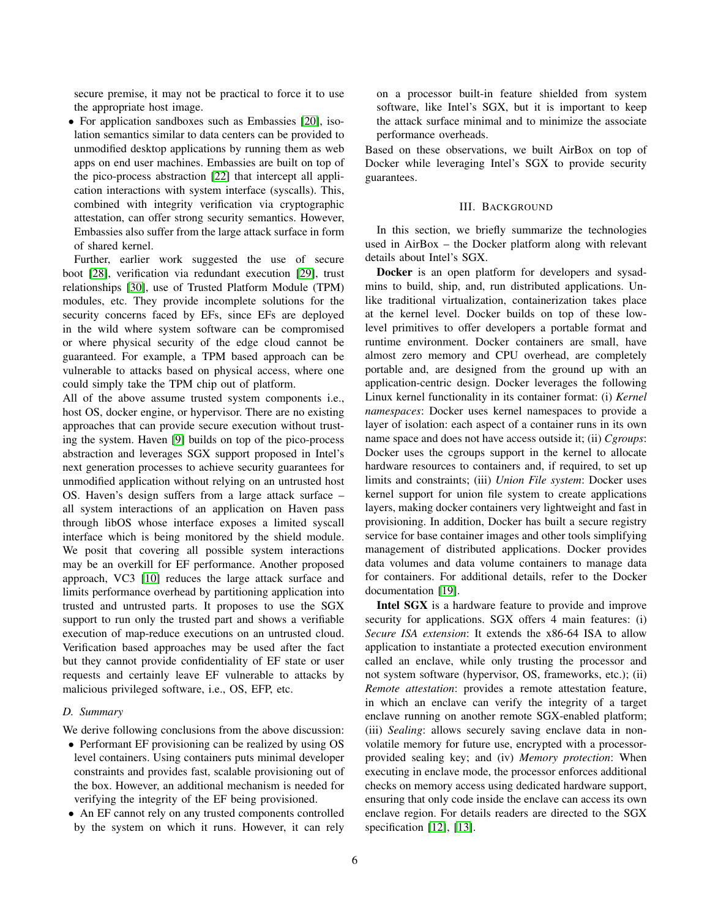secure premise, it may not be practical to force it to use the appropriate host image.

• For application sandboxes such as Embassies [\[20\]](#page-12-17), isolation semantics similar to data centers can be provided to unmodified desktop applications by running them as web apps on end user machines. Embassies are built on top of the pico-process abstraction [\[22\]](#page-12-21) that intercept all application interactions with system interface (syscalls). This, combined with integrity verification via cryptographic attestation, can offer strong security semantics. However, Embassies also suffer from the large attack surface in form of shared kernel.

Further, earlier work suggested the use of secure boot [\[28\]](#page-13-5), verification via redundant execution [\[29\]](#page-13-6), trust relationships [\[30\]](#page-13-7), use of Trusted Platform Module (TPM) modules, etc. They provide incomplete solutions for the security concerns faced by EFs, since EFs are deployed in the wild where system software can be compromised or where physical security of the edge cloud cannot be guaranteed. For example, a TPM based approach can be vulnerable to attacks based on physical access, where one could simply take the TPM chip out of platform.

All of the above assume trusted system components i.e., host OS, docker engine, or hypervisor. There are no existing approaches that can provide secure execution without trusting the system. Haven [\[9\]](#page-12-8) builds on top of the pico-process abstraction and leverages SGX support proposed in Intel's next generation processes to achieve security guarantees for unmodified application without relying on an untrusted host OS. Haven's design suffers from a large attack surface – all system interactions of an application on Haven pass through libOS whose interface exposes a limited syscall interface which is being monitored by the shield module. We posit that covering all possible system interactions may be an overkill for EF performance. Another proposed approach, VC3 [\[10\]](#page-12-9) reduces the large attack surface and limits performance overhead by partitioning application into trusted and untrusted parts. It proposes to use the SGX support to run only the trusted part and shows a verifiable execution of map-reduce executions on an untrusted cloud. Verification based approaches may be used after the fact but they cannot provide confidentiality of EF state or user requests and certainly leave EF vulnerable to attacks by malicious privileged software, i.e., OS, EFP, etc.

# *D. Summary*

We derive following conclusions from the above discussion:

- Performant EF provisioning can be realized by using OS level containers. Using containers puts minimal developer constraints and provides fast, scalable provisioning out of the box. However, an additional mechanism is needed for verifying the integrity of the EF being provisioned.
- An EF cannot rely on any trusted components controlled by the system on which it runs. However, it can rely

on a processor built-in feature shielded from system software, like Intel's SGX, but it is important to keep the attack surface minimal and to minimize the associate performance overheads.

Based on these observations, we built AirBox on top of Docker while leveraging Intel's SGX to provide security guarantees.

#### III. BACKGROUND

In this section, we briefly summarize the technologies used in AirBox – the Docker platform along with relevant details about Intel's SGX.

Docker is an open platform for developers and sysadmins to build, ship, and, run distributed applications. Unlike traditional virtualization, containerization takes place at the kernel level. Docker builds on top of these lowlevel primitives to offer developers a portable format and runtime environment. Docker containers are small, have almost zero memory and CPU overhead, are completely portable and, are designed from the ground up with an application-centric design. Docker leverages the following Linux kernel functionality in its container format: (i) *Kernel namespaces*: Docker uses kernel namespaces to provide a layer of isolation: each aspect of a container runs in its own name space and does not have access outside it; (ii) *Cgroups*: Docker uses the cgroups support in the kernel to allocate hardware resources to containers and, if required, to set up limits and constraints; (iii) *Union File system*: Docker uses kernel support for union file system to create applications layers, making docker containers very lightweight and fast in provisioning. In addition, Docker has built a secure registry service for base container images and other tools simplifying management of distributed applications. Docker provides data volumes and data volume containers to manage data for containers. For additional details, refer to the Docker documentation [\[19\]](#page-12-16).

Intel SGX is a hardware feature to provide and improve security for applications. SGX offers 4 main features: (i) *Secure ISA extension*: It extends the x86-64 ISA to allow application to instantiate a protected execution environment called an enclave, while only trusting the processor and not system software (hypervisor, OS, frameworks, etc.); (ii) *Remote attestation*: provides a remote attestation feature, in which an enclave can verify the integrity of a target enclave running on another remote SGX-enabled platform; (iii) *Sealing*: allows securely saving enclave data in nonvolatile memory for future use, encrypted with a processorprovided sealing key; and (iv) *Memory protection*: When executing in enclave mode, the processor enforces additional checks on memory access using dedicated hardware support, ensuring that only code inside the enclave can access its own enclave region. For details readers are directed to the SGX specification [\[12\]](#page-12-11), [\[13\]](#page-12-12).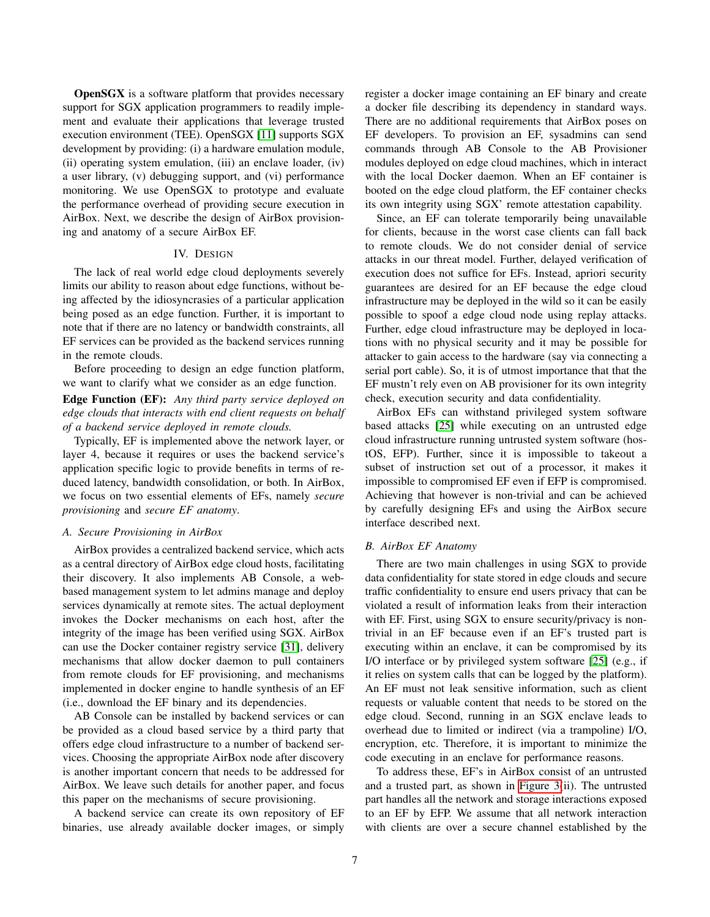OpenSGX is a software platform that provides necessary support for SGX application programmers to readily implement and evaluate their applications that leverage trusted execution environment (TEE). OpenSGX [\[11\]](#page-12-10) supports SGX development by providing: (i) a hardware emulation module, (ii) operating system emulation, (iii) an enclave loader, (iv) a user library, (v) debugging support, and (vi) performance monitoring. We use OpenSGX to prototype and evaluate the performance overhead of providing secure execution in AirBox. Next, we describe the design of AirBox provisioning and anatomy of a secure AirBox EF.

## IV. DESIGN

<span id="page-6-0"></span>The lack of real world edge cloud deployments severely limits our ability to reason about edge functions, without being affected by the idiosyncrasies of a particular application being posed as an edge function. Further, it is important to note that if there are no latency or bandwidth constraints, all EF services can be provided as the backend services running in the remote clouds.

Before proceeding to design an edge function platform, we want to clarify what we consider as an edge function.

Edge Function (EF): *Any third party service deployed on edge clouds that interacts with end client requests on behalf of a backend service deployed in remote clouds.*

Typically, EF is implemented above the network layer, or layer 4, because it requires or uses the backend service's application specific logic to provide benefits in terms of reduced latency, bandwidth consolidation, or both. In AirBox, we focus on two essential elements of EFs, namely *secure provisioning* and *secure EF anatomy*.

## *A. Secure Provisioning in AirBox*

AirBox provides a centralized backend service, which acts as a central directory of AirBox edge cloud hosts, facilitating their discovery. It also implements AB Console, a webbased management system to let admins manage and deploy services dynamically at remote sites. The actual deployment invokes the Docker mechanisms on each host, after the integrity of the image has been verified using SGX. AirBox can use the Docker container registry service [\[31\]](#page-13-8), delivery mechanisms that allow docker daemon to pull containers from remote clouds for EF provisioning, and mechanisms implemented in docker engine to handle synthesis of an EF (i.e., download the EF binary and its dependencies.

AB Console can be installed by backend services or can be provided as a cloud based service by a third party that offers edge cloud infrastructure to a number of backend services. Choosing the appropriate AirBox node after discovery is another important concern that needs to be addressed for AirBox. We leave such details for another paper, and focus this paper on the mechanisms of secure provisioning.

A backend service can create its own repository of EF binaries, use already available docker images, or simply register a docker image containing an EF binary and create a docker file describing its dependency in standard ways. There are no additional requirements that AirBox poses on EF developers. To provision an EF, sysadmins can send commands through AB Console to the AB Provisioner modules deployed on edge cloud machines, which in interact with the local Docker daemon. When an EF container is booted on the edge cloud platform, the EF container checks its own integrity using SGX' remote attestation capability.

Since, an EF can tolerate temporarily being unavailable for clients, because in the worst case clients can fall back to remote clouds. We do not consider denial of service attacks in our threat model. Further, delayed verification of execution does not suffice for EFs. Instead, apriori security guarantees are desired for an EF because the edge cloud infrastructure may be deployed in the wild so it can be easily possible to spoof a edge cloud node using replay attacks. Further, edge cloud infrastructure may be deployed in locations with no physical security and it may be possible for attacker to gain access to the hardware (say via connecting a serial port cable). So, it is of utmost importance that that the EF mustn't rely even on AB provisioner for its own integrity check, execution security and data confidentiality.

AirBox EFs can withstand privileged system software based attacks [\[25\]](#page-13-2) while executing on an untrusted edge cloud infrastructure running untrusted system software (hostOS, EFP). Further, since it is impossible to takeout a subset of instruction set out of a processor, it makes it impossible to compromised EF even if EFP is compromised. Achieving that however is non-trivial and can be achieved by carefully designing EFs and using the AirBox secure interface described next.

## *B. AirBox EF Anatomy*

There are two main challenges in using SGX to provide data confidentiality for state stored in edge clouds and secure traffic confidentiality to ensure end users privacy that can be violated a result of information leaks from their interaction with EF. First, using SGX to ensure security/privacy is nontrivial in an EF because even if an EF's trusted part is executing within an enclave, it can be compromised by its I/O interface or by privileged system software [\[25\]](#page-13-2) (e.g., if it relies on system calls that can be logged by the platform). An EF must not leak sensitive information, such as client requests or valuable content that needs to be stored on the edge cloud. Second, running in an SGX enclave leads to overhead due to limited or indirect (via a trampoline) I/O, encryption, etc. Therefore, it is important to minimize the code executing in an enclave for performance reasons.

To address these, EF's in AirBox consist of an untrusted and a trusted part, as shown in [Figure 3\(](#page-7-0)ii). The untrusted part handles all the network and storage interactions exposed to an EF by EFP. We assume that all network interaction with clients are over a secure channel established by the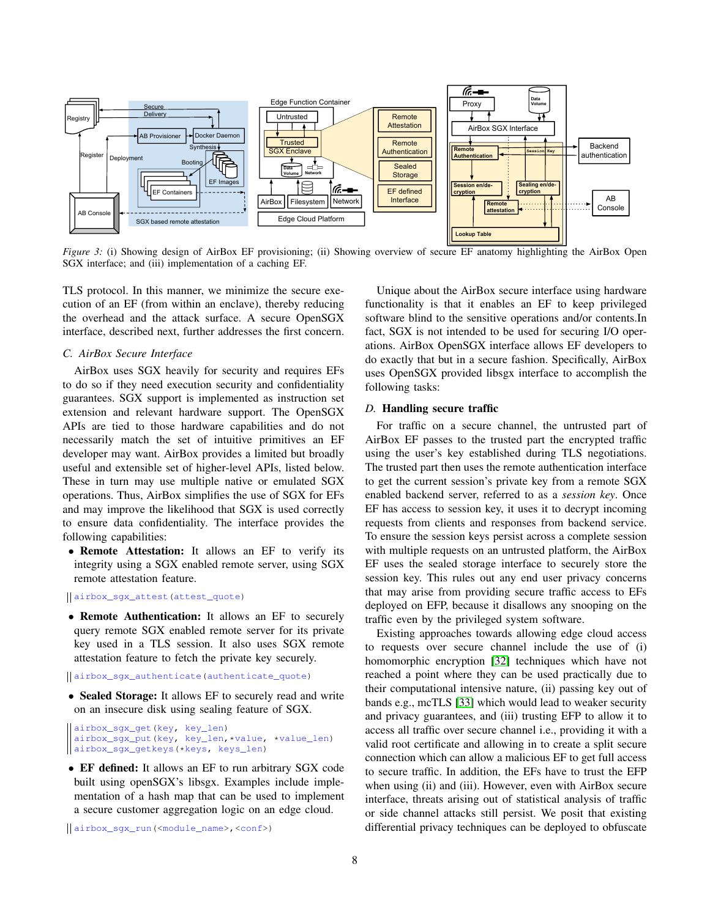<span id="page-7-0"></span>

*Figure 3:* (i) Showing design of AirBox EF provisioning; (ii) Showing overview of secure EF anatomy highlighting the AirBox Open SGX interface; and (iii) implementation of a caching EF.

TLS protocol. In this manner, we minimize the secure execution of an EF (from within an enclave), thereby reducing the overhead and the attack surface. A secure OpenSGX interface, described next, further addresses the first concern.

#### *C. AirBox Secure Interface*

AirBox uses SGX heavily for security and requires EFs to do so if they need execution security and confidentiality guarantees. SGX support is implemented as instruction set extension and relevant hardware support. The OpenSGX APIs are tied to those hardware capabilities and do not necessarily match the set of intuitive primitives an EF developer may want. AirBox provides a limited but broadly useful and extensible set of higher-level APIs, listed below. These in turn may use multiple native or emulated SGX operations. Thus, AirBox simplifies the use of SGX for EFs and may improve the likelihood that SGX is used correctly to ensure data confidentiality. The interface provides the following capabilities:

• Remote Attestation: It allows an EF to verify its integrity using a SGX enabled remote server, using SGX remote attestation feature.

# airbox\_sgx\_attest(attest\_quote)

- Remote Authentication: It allows an EF to securely query remote SGX enabled remote server for its private key used in a TLS session. It also uses SGX remote attestation feature to fetch the private key securely.
- airbox\_sgx\_authenticate(authenticate\_quote)
- Sealed Storage: It allows EF to securely read and write on an insecure disk using sealing feature of SGX.

```
airbox_sgx_get(key, key_len)
airbox_sgx_put(key, key_len,*value, *value_len)
airbox_sgx_getkeys(*keys, keys_len)
```
• EF defined: It allows an EF to run arbitrary SGX code built using openSGX's libsgx. Examples include implementation of a hash map that can be used to implement a secure customer aggregation logic on an edge cloud.

airbox\_sgx\_run(<module\_name>,<conf>)

Unique about the AirBox secure interface using hardware functionality is that it enables an EF to keep privileged software blind to the sensitive operations and/or contents.In fact, SGX is not intended to be used for securing I/O operations. AirBox OpenSGX interface allows EF developers to do exactly that but in a secure fashion. Specifically, AirBox uses OpenSGX provided libsgx interface to accomplish the following tasks:

## *D.* Handling secure traffic

For traffic on a secure channel, the untrusted part of AirBox EF passes to the trusted part the encrypted traffic using the user's key established during TLS negotiations. The trusted part then uses the remote authentication interface to get the current session's private key from a remote SGX enabled backend server, referred to as a *session key*. Once EF has access to session key, it uses it to decrypt incoming requests from clients and responses from backend service. To ensure the session keys persist across a complete session with multiple requests on an untrusted platform, the AirBox EF uses the sealed storage interface to securely store the session key. This rules out any end user privacy concerns that may arise from providing secure traffic access to EFs deployed on EFP, because it disallows any snooping on the traffic even by the privileged system software.

Existing approaches towards allowing edge cloud access to requests over secure channel include the use of (i) homomorphic encryption [\[32\]](#page-13-9) techniques which have not reached a point where they can be used practically due to their computational intensive nature, (ii) passing key out of bands e.g., mcTLS [\[33\]](#page-13-10) which would lead to weaker security and privacy guarantees, and (iii) trusting EFP to allow it to access all traffic over secure channel i.e., providing it with a valid root certificate and allowing in to create a split secure connection which can allow a malicious EF to get full access to secure traffic. In addition, the EFs have to trust the EFP when using (ii) and (iii). However, even with AirBox secure interface, threats arising out of statistical analysis of traffic or side channel attacks still persist. We posit that existing differential privacy techniques can be deployed to obfuscate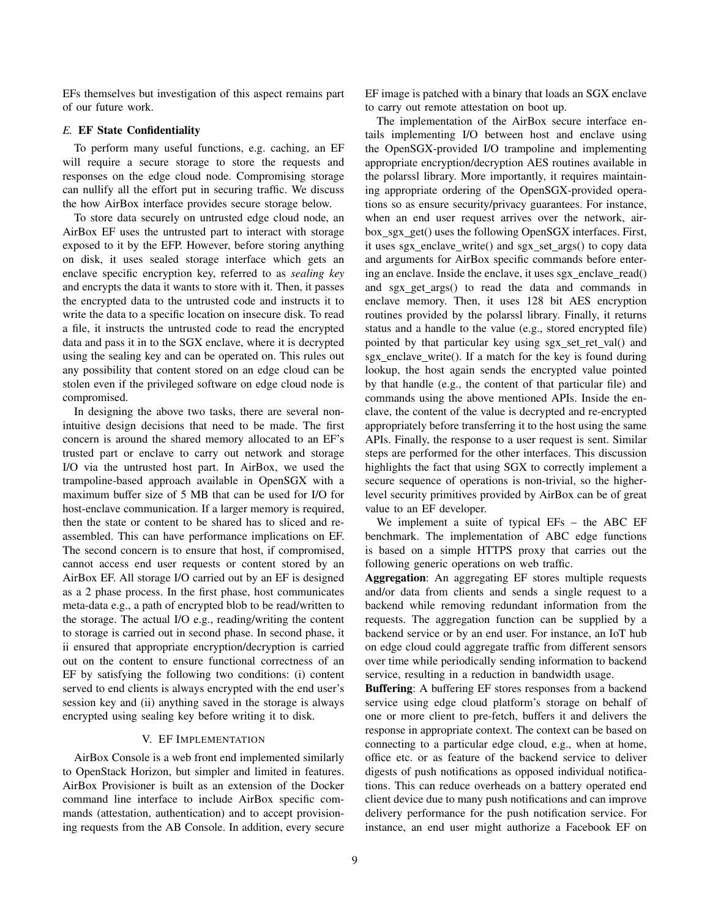EFs themselves but investigation of this aspect remains part of our future work.

#### *E.* EF State Confidentiality

To perform many useful functions, e.g. caching, an EF will require a secure storage to store the requests and responses on the edge cloud node. Compromising storage can nullify all the effort put in securing traffic. We discuss the how AirBox interface provides secure storage below.

To store data securely on untrusted edge cloud node, an AirBox EF uses the untrusted part to interact with storage exposed to it by the EFP. However, before storing anything on disk, it uses sealed storage interface which gets an enclave specific encryption key, referred to as *sealing key* and encrypts the data it wants to store with it. Then, it passes the encrypted data to the untrusted code and instructs it to write the data to a specific location on insecure disk. To read a file, it instructs the untrusted code to read the encrypted data and pass it in to the SGX enclave, where it is decrypted using the sealing key and can be operated on. This rules out any possibility that content stored on an edge cloud can be stolen even if the privileged software on edge cloud node is compromised.

In designing the above two tasks, there are several nonintuitive design decisions that need to be made. The first concern is around the shared memory allocated to an EF's trusted part or enclave to carry out network and storage I/O via the untrusted host part. In AirBox, we used the trampoline-based approach available in OpenSGX with a maximum buffer size of 5 MB that can be used for I/O for host-enclave communication. If a larger memory is required, then the state or content to be shared has to sliced and reassembled. This can have performance implications on EF. The second concern is to ensure that host, if compromised, cannot access end user requests or content stored by an AirBox EF. All storage I/O carried out by an EF is designed as a 2 phase process. In the first phase, host communicates meta-data e.g., a path of encrypted blob to be read/written to the storage. The actual I/O e.g., reading/writing the content to storage is carried out in second phase. In second phase, it ii ensured that appropriate encryption/decryption is carried out on the content to ensure functional correctness of an EF by satisfying the following two conditions: (i) content served to end clients is always encrypted with the end user's session key and (ii) anything saved in the storage is always encrypted using sealing key before writing it to disk.

#### V. EF IMPLEMENTATION

<span id="page-8-0"></span>AirBox Console is a web front end implemented similarly to OpenStack Horizon, but simpler and limited in features. AirBox Provisioner is built as an extension of the Docker command line interface to include AirBox specific commands (attestation, authentication) and to accept provisioning requests from the AB Console. In addition, every secure EF image is patched with a binary that loads an SGX enclave to carry out remote attestation on boot up.

The implementation of the AirBox secure interface entails implementing I/O between host and enclave using the OpenSGX-provided I/O trampoline and implementing appropriate encryption/decryption AES routines available in the polarssl library. More importantly, it requires maintaining appropriate ordering of the OpenSGX-provided operations so as ensure security/privacy guarantees. For instance, when an end user request arrives over the network, airbox\_sgx\_get() uses the following OpenSGX interfaces. First, it uses sgx\_enclave\_write() and sgx\_set\_args() to copy data and arguments for AirBox specific commands before entering an enclave. Inside the enclave, it uses sgx\_enclave\_read() and sgx get args() to read the data and commands in enclave memory. Then, it uses 128 bit AES encryption routines provided by the polarssl library. Finally, it returns status and a handle to the value (e.g., stored encrypted file) pointed by that particular key using sgx\_set\_ret\_val() and sgx\_enclave\_write(). If a match for the key is found during lookup, the host again sends the encrypted value pointed by that handle (e.g., the content of that particular file) and commands using the above mentioned APIs. Inside the enclave, the content of the value is decrypted and re-encrypted appropriately before transferring it to the host using the same APIs. Finally, the response to a user request is sent. Similar steps are performed for the other interfaces. This discussion highlights the fact that using SGX to correctly implement a secure sequence of operations is non-trivial, so the higherlevel security primitives provided by AirBox can be of great value to an EF developer.

We implement a suite of typical EFs – the ABC EF benchmark. The implementation of ABC edge functions is based on a simple HTTPS proxy that carries out the following generic operations on web traffic.

Aggregation: An aggregating EF stores multiple requests and/or data from clients and sends a single request to a backend while removing redundant information from the requests. The aggregation function can be supplied by a backend service or by an end user. For instance, an IoT hub on edge cloud could aggregate traffic from different sensors over time while periodically sending information to backend service, resulting in a reduction in bandwidth usage.

Buffering: A buffering EF stores responses from a backend service using edge cloud platform's storage on behalf of one or more client to pre-fetch, buffers it and delivers the response in appropriate context. The context can be based on connecting to a particular edge cloud, e.g., when at home, office etc. or as feature of the backend service to deliver digests of push notifications as opposed individual notifications. This can reduce overheads on a battery operated end client device due to many push notifications and can improve delivery performance for the push notification service. For instance, an end user might authorize a Facebook EF on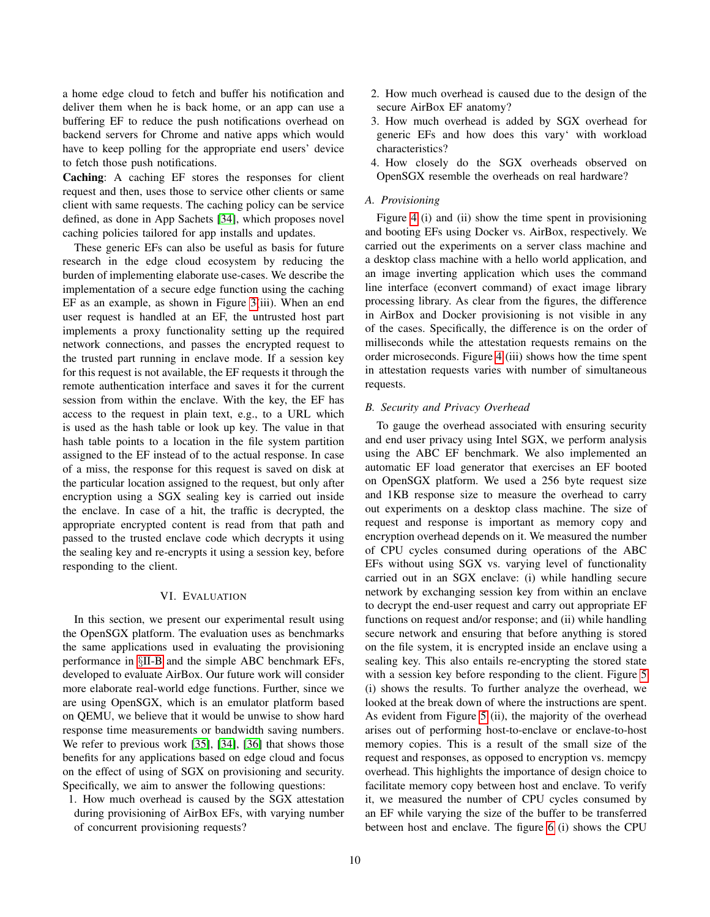a home edge cloud to fetch and buffer his notification and deliver them when he is back home, or an app can use a buffering EF to reduce the push notifications overhead on backend servers for Chrome and native apps which would have to keep polling for the appropriate end users' device to fetch those push notifications.

Caching: A caching EF stores the responses for client request and then, uses those to service other clients or same client with same requests. The caching policy can be service defined, as done in App Sachets [\[34\]](#page-13-11), which proposes novel caching policies tailored for app installs and updates.

These generic EFs can also be useful as basis for future research in the edge cloud ecosystem by reducing the burden of implementing elaborate use-cases. We describe the implementation of a secure edge function using the caching EF as an example, as shown in Figure [3\(](#page-7-0)iii). When an end user request is handled at an EF, the untrusted host part implements a proxy functionality setting up the required network connections, and passes the encrypted request to the trusted part running in enclave mode. If a session key for this request is not available, the EF requests it through the remote authentication interface and saves it for the current session from within the enclave. With the key, the EF has access to the request in plain text, e.g., to a URL which is used as the hash table or look up key. The value in that hash table points to a location in the file system partition assigned to the EF instead of to the actual response. In case of a miss, the response for this request is saved on disk at the particular location assigned to the request, but only after encryption using a SGX sealing key is carried out inside the enclave. In case of a hit, the traffic is decrypted, the appropriate encrypted content is read from that path and passed to the trusted enclave code which decrypts it using the sealing key and re-encrypts it using a session key, before responding to the client.

#### VI. EVALUATION

In this section, we present our experimental result using the OpenSGX platform. The evaluation uses as benchmarks the same applications used in evaluating the provisioning performance in §[II-B](#page-2-1) and the simple ABC benchmark EFs, developed to evaluate AirBox. Our future work will consider more elaborate real-world edge functions. Further, since we are using OpenSGX, which is an emulator platform based on QEMU, we believe that it would be unwise to show hard response time measurements or bandwidth saving numbers. We refer to previous work [\[35\]](#page-13-12), [\[34\]](#page-13-11), [\[36\]](#page-13-13) that shows those benefits for any applications based on edge cloud and focus on the effect of using of SGX on provisioning and security. Specifically, we aim to answer the following questions:

1. How much overhead is caused by the SGX attestation during provisioning of AirBox EFs, with varying number of concurrent provisioning requests?

- 2. How much overhead is caused due to the design of the secure AirBox EF anatomy?
- 3. How much overhead is added by SGX overhead for generic EFs and how does this vary' with workload characteristics?
- 4. How closely do the SGX overheads observed on OpenSGX resemble the overheads on real hardware?

#### *A. Provisioning*

Figure [4](#page-10-0) (i) and (ii) show the time spent in provisioning and booting EFs using Docker vs. AirBox, respectively. We carried out the experiments on a server class machine and a desktop class machine with a hello world application, and an image inverting application which uses the command line interface (econvert command) of exact image library processing library. As clear from the figures, the difference in AirBox and Docker provisioning is not visible in any of the cases. Specifically, the difference is on the order of milliseconds while the attestation requests remains on the order microseconds. Figure [4](#page-10-0) (iii) shows how the time spent in attestation requests varies with number of simultaneous requests.

## *B. Security and Privacy Overhead*

To gauge the overhead associated with ensuring security and end user privacy using Intel SGX, we perform analysis using the ABC EF benchmark. We also implemented an automatic EF load generator that exercises an EF booted on OpenSGX platform. We used a 256 byte request size and 1KB response size to measure the overhead to carry out experiments on a desktop class machine. The size of request and response is important as memory copy and encryption overhead depends on it. We measured the number of CPU cycles consumed during operations of the ABC EFs without using SGX vs. varying level of functionality carried out in an SGX enclave: (i) while handling secure network by exchanging session key from within an enclave to decrypt the end-user request and carry out appropriate EF functions on request and/or response; and (ii) while handling secure network and ensuring that before anything is stored on the file system, it is encrypted inside an enclave using a sealing key. This also entails re-encrypting the stored state with a session key before responding to the client. Figure [5](#page-10-1) (i) shows the results. To further analyze the overhead, we looked at the break down of where the instructions are spent. As evident from Figure [5](#page-10-1) (ii), the majority of the overhead arises out of performing host-to-enclave or enclave-to-host memory copies. This is a result of the small size of the request and responses, as opposed to encryption vs. memcpy overhead. This highlights the importance of design choice to facilitate memory copy between host and enclave. To verify it, we measured the number of CPU cycles consumed by an EF while varying the size of the buffer to be transferred between host and enclave. The figure [6](#page-10-2) (i) shows the CPU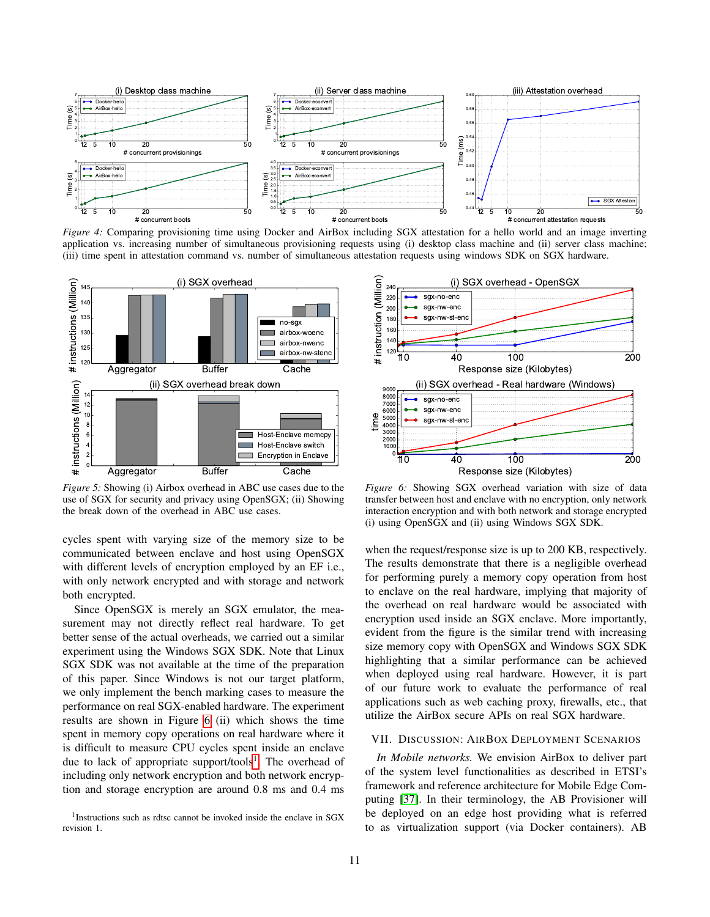<span id="page-10-0"></span>

*Figure 4:* Comparing provisioning time using Docker and AirBox including SGX attestation for a hello world and an image inverting application vs. increasing number of simultaneous provisioning requests using (i) desktop class machine and (ii) server class machine; (iii) time spent in attestation command vs. number of simultaneous attestation requests using windows SDK on SGX hardware.

<span id="page-10-1"></span>

*Figure 5:* Showing (i) Airbox overhead in ABC use cases due to the use of SGX for security and privacy using OpenSGX; (ii) Showing the break down of the overhead in ABC use cases.

cycles spent with varying size of the memory size to be communicated between enclave and host using OpenSGX with different levels of encryption employed by an EF i.e., with only network encrypted and with storage and network both encrypted.

Since OpenSGX is merely an SGX emulator, the measurement may not directly reflect real hardware. To get better sense of the actual overheads, we carried out a similar experiment using the Windows SGX SDK. Note that Linux SGX SDK was not available at the time of the preparation of this paper. Since Windows is not our target platform, we only implement the bench marking cases to measure the performance on real SGX-enabled hardware. The experiment results are shown in Figure [6](#page-10-2) (ii) which shows the time spent in memory copy operations on real hardware where it is difficult to measure CPU cycles spent inside an enclave due to lack of appropriate support/tools<sup>[1](#page-10-3)</sup>. The overhead of including only network encryption and both network encryption and storage encryption are around 0.8 ms and 0.4 ms

<span id="page-10-2"></span>

*Figure 6:* Showing SGX overhead variation with size of data transfer between host and enclave with no encryption, only network interaction encryption and with both network and storage encrypted (i) using OpenSGX and (ii) using Windows SGX SDK.

when the request/response size is up to 200 KB, respectively. The results demonstrate that there is a negligible overhead for performing purely a memory copy operation from host to enclave on the real hardware, implying that majority of the overhead on real hardware would be associated with encryption used inside an SGX enclave. More importantly, evident from the figure is the similar trend with increasing size memory copy with OpenSGX and Windows SGX SDK highlighting that a similar performance can be achieved when deployed using real hardware. However, it is part of our future work to evaluate the performance of real applications such as web caching proxy, firewalls, etc., that utilize the AirBox secure APIs on real SGX hardware.

## VII. DISCUSSION: AIRBOX DEPLOYMENT SCENARIOS

*In Mobile networks.* We envision AirBox to deliver part of the system level functionalities as described in ETSI's framework and reference architecture for Mobile Edge Computing [\[37\]](#page-13-14). In their terminology, the AB Provisioner will be deployed on an edge host providing what is referred to as virtualization support (via Docker containers). AB

<span id="page-10-3"></span><sup>&</sup>lt;sup>1</sup>Instructions such as rdtsc cannot be invoked inside the enclave in SGX revision 1.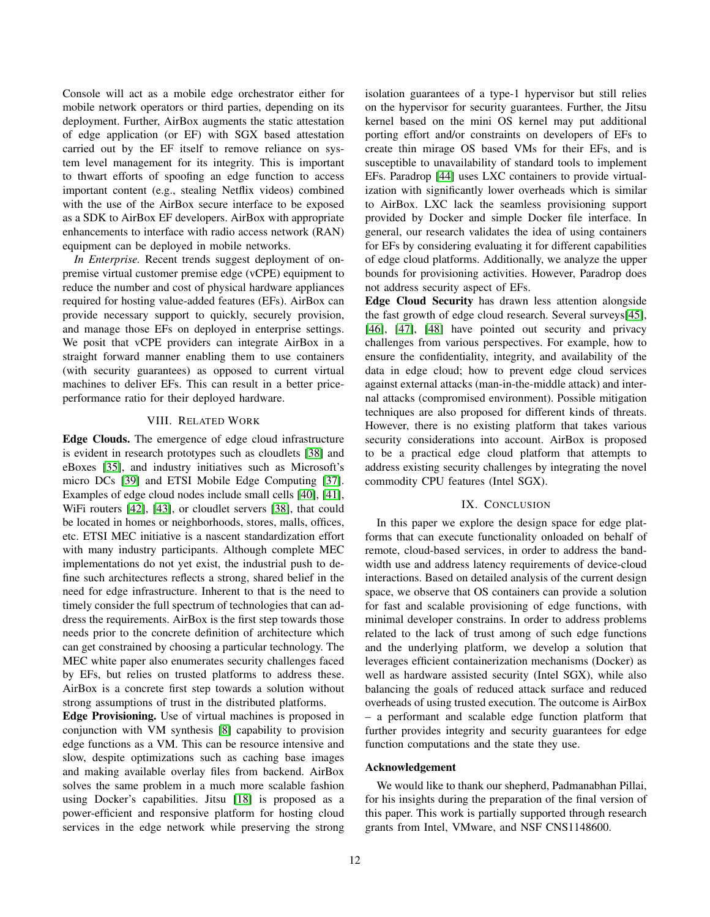Console will act as a mobile edge orchestrator either for mobile network operators or third parties, depending on its deployment. Further, AirBox augments the static attestation of edge application (or EF) with SGX based attestation carried out by the EF itself to remove reliance on system level management for its integrity. This is important to thwart efforts of spoofing an edge function to access important content (e.g., stealing Netflix videos) combined with the use of the AirBox secure interface to be exposed as a SDK to AirBox EF developers. AirBox with appropriate enhancements to interface with radio access network (RAN) equipment can be deployed in mobile networks.

*In Enterprise.* Recent trends suggest deployment of onpremise virtual customer premise edge (vCPE) equipment to reduce the number and cost of physical hardware appliances required for hosting value-added features (EFs). AirBox can provide necessary support to quickly, securely provision, and manage those EFs on deployed in enterprise settings. We posit that vCPE providers can integrate AirBox in a straight forward manner enabling them to use containers (with security guarantees) as opposed to current virtual machines to deliver EFs. This can result in a better priceperformance ratio for their deployed hardware.

## VIII. RELATED WORK

Edge Clouds. The emergence of edge cloud infrastructure is evident in research prototypes such as cloudlets [\[38\]](#page-13-15) and eBoxes [\[35\]](#page-13-12), and industry initiatives such as Microsoft's micro DCs [\[39\]](#page-13-16) and ETSI Mobile Edge Computing [\[37\]](#page-13-14). Examples of edge cloud nodes include small cells [\[40\]](#page-13-17), [\[41\]](#page-13-18), WiFi routers [\[42\]](#page-13-19), [\[43\]](#page-13-20), or cloudlet servers [\[38\]](#page-13-15), that could be located in homes or neighborhoods, stores, malls, offices, etc. ETSI MEC initiative is a nascent standardization effort with many industry participants. Although complete MEC implementations do not yet exist, the industrial push to define such architectures reflects a strong, shared belief in the need for edge infrastructure. Inherent to that is the need to timely consider the full spectrum of technologies that can address the requirements. AirBox is the first step towards those needs prior to the concrete definition of architecture which can get constrained by choosing a particular technology. The MEC white paper also enumerates security challenges faced by EFs, but relies on trusted platforms to address these. AirBox is a concrete first step towards a solution without strong assumptions of trust in the distributed platforms.

Edge Provisioning. Use of virtual machines is proposed in conjunction with VM synthesis [\[8\]](#page-12-7) capability to provision edge functions as a VM. This can be resource intensive and slow, despite optimizations such as caching base images and making available overlay files from backend. AirBox solves the same problem in a much more scalable fashion using Docker's capabilities. Jitsu [\[18\]](#page-12-19) is proposed as a power-efficient and responsive platform for hosting cloud services in the edge network while preserving the strong isolation guarantees of a type-1 hypervisor but still relies on the hypervisor for security guarantees. Further, the Jitsu kernel based on the mini OS kernel may put additional porting effort and/or constraints on developers of EFs to create thin mirage OS based VMs for their EFs, and is susceptible to unavailability of standard tools to implement EFs. Paradrop [\[44\]](#page-13-21) uses LXC containers to provide virtualization with significantly lower overheads which is similar to AirBox. LXC lack the seamless provisioning support provided by Docker and simple Docker file interface. In general, our research validates the idea of using containers for EFs by considering evaluating it for different capabilities of edge cloud platforms. Additionally, we analyze the upper bounds for provisioning activities. However, Paradrop does not address security aspect of EFs.

Edge Cloud Security has drawn less attention alongside the fast growth of edge cloud research. Several surveys[\[45\]](#page-13-22), [\[46\]](#page-13-23), [\[47\]](#page-13-24), [\[48\]](#page-13-25) have pointed out security and privacy challenges from various perspectives. For example, how to ensure the confidentiality, integrity, and availability of the data in edge cloud; how to prevent edge cloud services against external attacks (man-in-the-middle attack) and internal attacks (compromised environment). Possible mitigation techniques are also proposed for different kinds of threats. However, there is no existing platform that takes various security considerations into account. AirBox is proposed to be a practical edge cloud platform that attempts to address existing security challenges by integrating the novel commodity CPU features (Intel SGX).

#### IX. CONCLUSION

In this paper we explore the design space for edge platforms that can execute functionality onloaded on behalf of remote, cloud-based services, in order to address the bandwidth use and address latency requirements of device-cloud interactions. Based on detailed analysis of the current design space, we observe that OS containers can provide a solution for fast and scalable provisioning of edge functions, with minimal developer constrains. In order to address problems related to the lack of trust among of such edge functions and the underlying platform, we develop a solution that leverages efficient containerization mechanisms (Docker) as well as hardware assisted security (Intel SGX), while also balancing the goals of reduced attack surface and reduced overheads of using trusted execution. The outcome is AirBox – a performant and scalable edge function platform that further provides integrity and security guarantees for edge function computations and the state they use.

#### Acknowledgement

We would like to thank our shepherd, Padmanabhan Pillai, for his insights during the preparation of the final version of this paper. This work is partially supported through research grants from Intel, VMware, and NSF CNS1148600.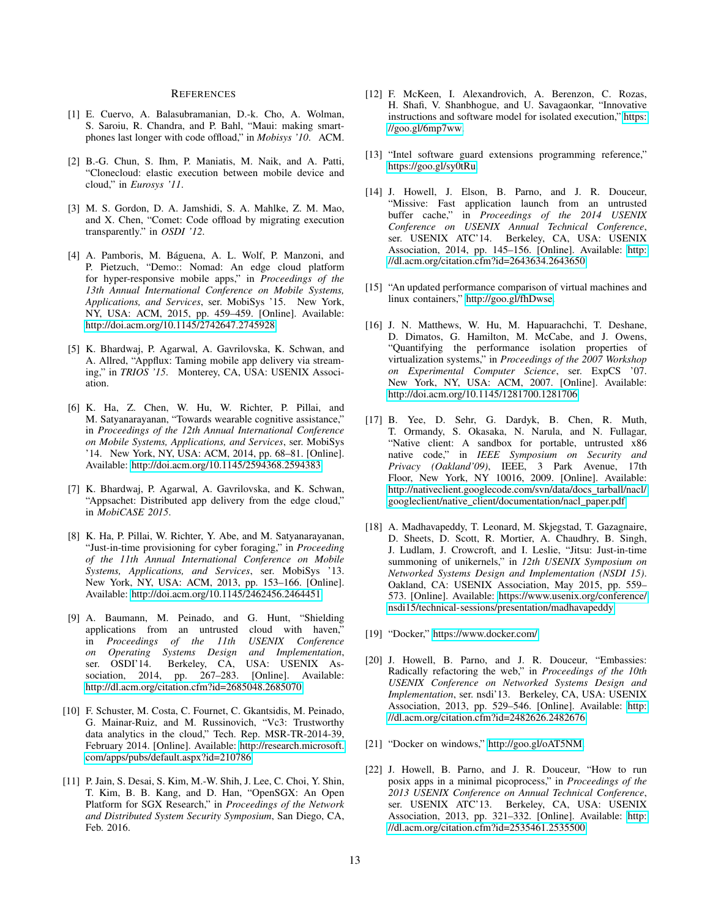#### **REFERENCES**

- <span id="page-12-0"></span>[1] E. Cuervo, A. Balasubramanian, D.-k. Cho, A. Wolman, S. Saroiu, R. Chandra, and P. Bahl, "Maui: making smartphones last longer with code offload," in *Mobisys '10*. ACM.
- <span id="page-12-1"></span>[2] B.-G. Chun, S. Ihm, P. Maniatis, M. Naik, and A. Patti, "Clonecloud: elastic execution between mobile device and cloud," in *Eurosys '11*.
- <span id="page-12-2"></span>[3] M. S. Gordon, D. A. Jamshidi, S. A. Mahlke, Z. M. Mao, and X. Chen, "Comet: Code offload by migrating execution transparently." in *OSDI '12*.
- <span id="page-12-3"></span>[4] A. Pamboris, M. Báguena, A. L. Wolf, P. Manzoni, and P. Pietzuch, "Demo:: Nomad: An edge cloud platform for hyper-responsive mobile apps," in *Proceedings of the 13th Annual International Conference on Mobile Systems, Applications, and Services*, ser. MobiSys '15. New York, NY, USA: ACM, 2015, pp. 459–459. [Online]. Available: <http://doi.acm.org/10.1145/2742647.2745928>
- <span id="page-12-4"></span>[5] K. Bhardwaj, P. Agarwal, A. Gavrilovska, K. Schwan, and A. Allred, "Appflux: Taming mobile app delivery via streaming," in *TRIOS '15*. Monterey, CA, USA: USENIX Association.
- <span id="page-12-5"></span>[6] K. Ha, Z. Chen, W. Hu, W. Richter, P. Pillai, and M. Satyanarayanan, "Towards wearable cognitive assistance," in *Proceedings of the 12th Annual International Conference on Mobile Systems, Applications, and Services*, ser. MobiSys '14. New York, NY, USA: ACM, 2014, pp. 68–81. [Online]. Available:<http://doi.acm.org/10.1145/2594368.2594383>
- <span id="page-12-6"></span>[7] K. Bhardwaj, P. Agarwal, A. Gavrilovska, and K. Schwan, "Appsachet: Distributed app delivery from the edge cloud," in *MobiCASE 2015*.
- <span id="page-12-7"></span>[8] K. Ha, P. Pillai, W. Richter, Y. Abe, and M. Satyanarayanan, "Just-in-time provisioning for cyber foraging," in *Proceeding of the 11th Annual International Conference on Mobile Systems, Applications, and Services*, ser. MobiSys '13. New York, NY, USA: ACM, 2013, pp. 153–166. [Online]. Available:<http://doi.acm.org/10.1145/2462456.2464451>
- <span id="page-12-8"></span>[9] A. Baumann, M. Peinado, and G. Hunt, "Shielding applications from an untrusted cloud with haven," in *Proceedings of the 11th USENIX Conference on Operating Systems Design and Implementation*, ser. OSDI'14. Berkeley, CA, USA: USENIX Association, 2014, pp. 267–283. [Online]. Available: <http://dl.acm.org/citation.cfm?id=2685048.2685070>
- <span id="page-12-9"></span>[10] F. Schuster, M. Costa, C. Fournet, C. Gkantsidis, M. Peinado, G. Mainar-Ruiz, and M. Russinovich, "Vc3: Trustworthy data analytics in the cloud," Tech. Rep. MSR-TR-2014-39, February 2014. [Online]. Available: [http://research.microsoft.](http://research.microsoft.com/apps/pubs/default.aspx?id=210786) [com/apps/pubs/default.aspx?id=210786](http://research.microsoft.com/apps/pubs/default.aspx?id=210786)
- <span id="page-12-10"></span>[11] P. Jain, S. Desai, S. Kim, M.-W. Shih, J. Lee, C. Choi, Y. Shin, T. Kim, B. B. Kang, and D. Han, "OpenSGX: An Open Platform for SGX Research," in *Proceedings of the Network and Distributed System Security Symposium*, San Diego, CA, Feb. 2016.
- <span id="page-12-11"></span>[12] F. McKeen, I. Alexandrovich, A. Berenzon, C. Rozas, H. Shafi, V. Shanbhogue, and U. Savagaonkar, "Innovative instructions and software model for isolated execution," [https:](https://goo.gl/6mp7ww) [//goo.gl/6mp7ww.](https://goo.gl/6mp7ww)
- <span id="page-12-12"></span>[13] "Intel software guard extensions programming reference," [https://goo.gl/sy0tRu.](https://goo.gl/sy0tRu)
- <span id="page-12-13"></span>[14] J. Howell, J. Elson, B. Parno, and J. R. Douceur, "Missive: Fast application launch from an untrusted buffer cache," in *Proceedings of the 2014 USENIX Conference on USENIX Annual Technical Conference*, ser. USENIX ATC'14. Berkeley, CA, USA: USENIX Association, 2014, pp. 145–156. [Online]. Available: [http:](http://dl.acm.org/citation.cfm?id=2643634.2643650) [//dl.acm.org/citation.cfm?id=2643634.2643650](http://dl.acm.org/citation.cfm?id=2643634.2643650)
- <span id="page-12-14"></span>[15] "An updated performance comparison of virtual machines and linux containers," [http://goo.gl/fhDwse.](http://goo.gl/fhDwse)
- <span id="page-12-15"></span>[16] J. N. Matthews, W. Hu, M. Hapuarachchi, T. Deshane, D. Dimatos, G. Hamilton, M. McCabe, and J. Owens, "Quantifying the performance isolation properties of virtualization systems," in *Proceedings of the 2007 Workshop on Experimental Computer Science*, ser. ExpCS '07. New York, NY, USA: ACM, 2007. [Online]. Available: <http://doi.acm.org/10.1145/1281700.1281706>
- <span id="page-12-18"></span>[17] B. Yee, D. Sehr, G. Dardyk, B. Chen, R. Muth, T. Ormandy, S. Okasaka, N. Narula, and N. Fullagar, "Native client: A sandbox for portable, untrusted x86 native code," in *IEEE Symposium on Security and Privacy (Oakland'09)*, IEEE, 3 Park Avenue, 17th Floor, New York, NY 10016, 2009. [Online]. Available: [http://nativeclient.googlecode.com/svn/data/docs](http://nativeclient.googlecode.com/svn/data/docs_tarball/nacl/googleclient/native_client/documentation/nacl_paper.pdf)\_tarball/nacl/ googleclient/native [client/documentation/nacl](http://nativeclient.googlecode.com/svn/data/docs_tarball/nacl/googleclient/native_client/documentation/nacl_paper.pdf) paper.pdf
- <span id="page-12-19"></span>[18] A. Madhavapeddy, T. Leonard, M. Skjegstad, T. Gazagnaire, D. Sheets, D. Scott, R. Mortier, A. Chaudhry, B. Singh, J. Ludlam, J. Crowcroft, and I. Leslie, "Jitsu: Just-in-time summoning of unikernels," in *12th USENIX Symposium on Networked Systems Design and Implementation (NSDI 15)*. Oakland, CA: USENIX Association, May 2015, pp. 559– 573. [Online]. Available: [https://www.usenix.org/conference/](https://www.usenix.org/conference/nsdi15/technical-sessions/presentation/madhavapeddy) [nsdi15/technical-sessions/presentation/madhavapeddy](https://www.usenix.org/conference/nsdi15/technical-sessions/presentation/madhavapeddy)
- <span id="page-12-16"></span>[19] "Docker," [https://www.docker.com/.](https://www.docker.com/)
- <span id="page-12-17"></span>[20] J. Howell, B. Parno, and J. R. Douceur, "Embassies: Radically refactoring the web," in *Proceedings of the 10th USENIX Conference on Networked Systems Design and Implementation*, ser. nsdi'13. Berkeley, CA, USA: USENIX Association, 2013, pp. 529–546. [Online]. Available: [http:](http://dl.acm.org/citation.cfm?id=2482626.2482676) [//dl.acm.org/citation.cfm?id=2482626.2482676](http://dl.acm.org/citation.cfm?id=2482626.2482676)
- <span id="page-12-20"></span>[21] "Docker on windows," [http://goo.gl/oAT5NM.](http://goo.gl/oAT5NM)
- <span id="page-12-21"></span>[22] J. Howell, B. Parno, and J. R. Douceur, "How to run posix apps in a minimal picoprocess," in *Proceedings of the 2013 USENIX Conference on Annual Technical Conference*, ser. USENIX ATC'13. Berkeley, CA, USA: USENIX Association, 2013, pp. 321–332. [Online]. Available: [http:](http://dl.acm.org/citation.cfm?id=2535461.2535500) [//dl.acm.org/citation.cfm?id=2535461.2535500](http://dl.acm.org/citation.cfm?id=2535461.2535500)